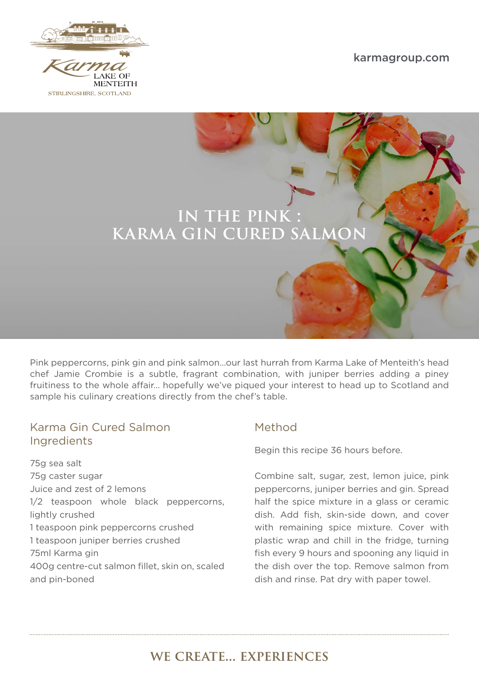







Pink peppercorns, pink gin and pink salmon…our last hurrah from Karma Lake of Menteith's head chef Jamie Crombie is a subtle, fragrant combination, with juniper berries adding a piney fruitiness to the whole affair… hopefully we've piqued your interest to head up to Scotland and sample his culinary creations directly from the chef's table.

### Karma Gin Cured Salmon Ingredients

75g sea salt 75g caster sugar Juice and zest of 2 lemons 1/2 teaspoon whole black peppercorns, lightly crushed 1 teaspoon pink peppercorns crushed 1 teaspoon juniper berries crushed 75ml Karma gin 400g centre-cut salmon fillet, skin on, scaled and pin-boned

## Method

Begin this recipe 36 hours before.

Combine salt, sugar, zest, lemon juice, pink peppercorns, juniper berries and gin. Spread half the spice mixture in a glass or ceramic dish. Add fish, skin-side down, and cover with remaining spice mixture. Cover with plastic wrap and chill in the fridge, turning fish every 9 hours and spooning any liquid in the dish over the top. Remove salmon from dish and rinse. Pat dry with paper towel.

# we create… experiences